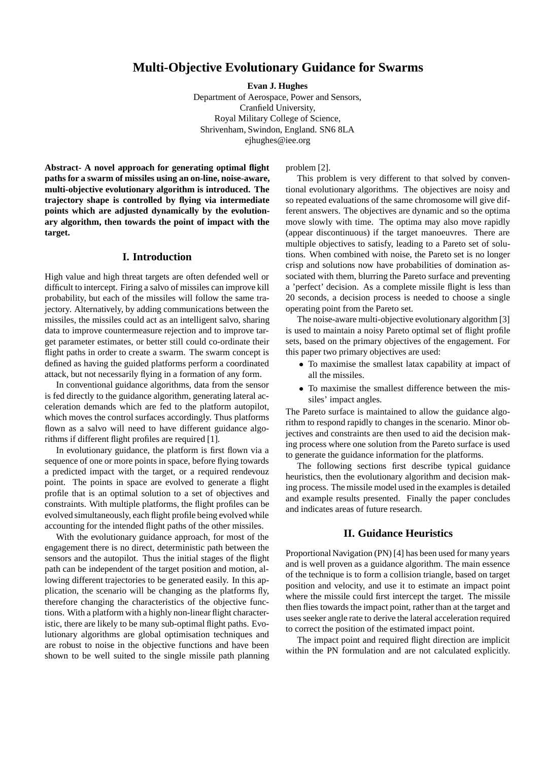# **Multi-Objective Evolutionary Guidance for Swarms**

**Evan J. Hughes**

Department of Aerospace, Power and Sensors, Cranfield University, Royal Military College of Science, Shrivenham, Swindon, England. SN6 8LA ejhughes@iee.org

**Abstract- A novel approach for generating optimal flight paths for a swarm of missiles using an on-line, noise-aware, multi-objective evolutionary algorithm is introduced. The trajectory shape is controlled by flying via intermediate points which are adjusted dynamically by the evolutionary algorithm, then towards the point of impact with the target.**

## **I. Introduction**

High value and high threat targets are often defended well or difficult to intercept. Firing a salvo of missiles can improve kill probability, but each of the missiles will follow the same trajectory. Alternatively, by adding communications between the missiles, the missiles could act as an intelligent salvo, sharing data to improve countermeasure rejection and to improve target parameter estimates, or better still could co-ordinate their flight paths in order to create a swarm. The swarm concept is defined as having the guided platforms perform a coordinated attack, but not necessarily flying in a formation of any form.

In conventional guidance algorithms, data from the sensor is fed directly to the guidance algorithm, generating lateral acceleration demands which are fed to the platform autopilot, which moves the control surfaces accordingly. Thus platforms flown as a salvo will need to have different guidance algorithms if different flight profiles are required [1].

In evolutionary guidance, the platform is first flown via a sequence of one or more points in space, before flying towards a predicted impact with the target, or a required rendevouz point. The points in space are evolved to generate a flight profile that is an optimal solution to a set of objectives and constraints. With multiple platforms, the flight profiles can be evolved simultaneously, each flight profile being evolved while accounting for the intended flight paths of the other missiles.

With the evolutionary guidance approach, for most of the engagement there is no direct, deterministic path between the sensors and the autopilot. Thus the initial stages of the flight path can be independent of the target position and motion, allowing different trajectories to be generated easily. In this application, the scenario will be changing as the platforms fly, therefore changing the characteristics of the objective functions. With a platform with a highly non-linear flight characteristic, there are likely to be many sub-optimal flight paths. Evolutionary algorithms are global optimisation techniques and are robust to noise in the objective functions and have been shown to be well suited to the single missile path planning problem [2].

This problem is very different to that solved by conventional evolutionary algorithms. The objectives are noisy and so repeated evaluations of the same chromosome will give different answers. The objectives are dynamic and so the optima move slowly with time. The optima may also move rapidly (appear discontinuous) if the target manoeuvres. There are multiple objectives to satisfy, leading to a Pareto set of solutions. When combined with noise, the Pareto set is no longer crisp and solutions now have probabilities of domination associated with them, blurring the Pareto surface and preventing a 'perfect' decision. As a complete missile flight is less than 20 seconds, a decision process is needed to choose a single operating point from the Pareto set.

The noise-aware multi-objective evolutionary algorithm [3] is used to maintain a noisy Pareto optimal set of flight profile sets, based on the primary objectives of the engagement. For this paper two primary objectives are used:

- To maximise the smallest latax capability at impact of all the missiles.
- To maximise the smallest difference between the missiles' impact angles.

The Pareto surface is maintained to allow the guidance algorithm to respond rapidly to changes in the scenario. Minor objectives and constraints are then used to aid the decision making process where one solution from the Pareto surface is used to generate the guidance information for the platforms.

The following sections first describe typical guidance heuristics, then the evolutionary algorithm and decision making process. The missile model used in the examples is detailed and example results presented. Finally the paper concludes and indicates areas of future research.

## **II. Guidance Heuristics**

Proportional Navigation (PN) [4] has been used for many years and is well proven as a guidance algorithm. The main essence of the technique is to form a collision triangle, based on target position and velocity, and use it to estimate an impact point where the missile could first intercept the target. The missile then flies towards the impact point, rather than at the target and uses seeker angle rate to derive the lateral acceleration required to correct the position of the estimated impact point.

The impact point and required flight direction are implicit within the PN formulation and are not calculated explicitly.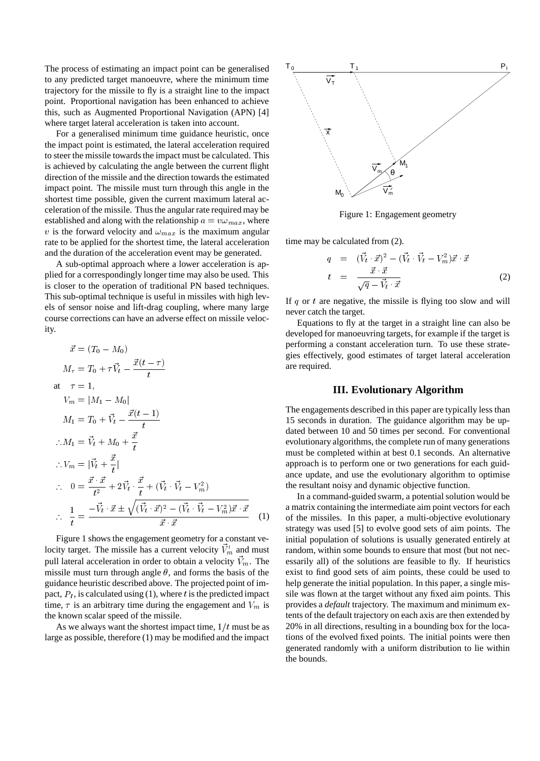The process of estimating an impact point can be generalised to any predicted target manoeuvre, where the minimum time trajectory for the missile to fly is a straight line to the impact point. Proportional navigation has been enhanced to achieve this, such as Augmented Proportional Navigation (APN) [4] where target lateral acceleration is taken into account.

For a generalised minimum time guidance heuristic, once the impact point is estimated, the lateral acceleration required to steer the missile towards the impact must be calculated. This is achieved by calculating the angle between the current flight direction of the missile and the direction towards the estimated impact point. The missile must turn through this angle in the shortest time possible, given the current maximum lateral acceleration of the missile. Thus the angular rate required may be established and along with the relationship  $a = v \omega_{max}$ , where v is the forward velocity and  $\omega_{max}$  is the maximum angular rate to be applied for the shortest time, the lateral acceleration and the duration of the acceleration event may be generated.

A sub-optimal approach where a lower acceleration is applied for a correspondingly longer time may also be used. This is closer to the operation of traditional PN based techniques. This sub-optimal technique is useful in missiles with high levels of sensor noise and lift-drag coupling, where many large course corrections can have an adverse effect on missile velocity.

$$
\vec{x} = (T_0 - M_0)
$$
\n
$$
M_{\tau} = T_0 + \tau \vec{V}_t - \frac{\vec{x}(t - \tau)}{t}
$$
\nat  $\tau = 1$ ,  
\n
$$
V_m = |M_1 - M_0|
$$
\n
$$
M_1 = T_0 + \vec{V}_t - \frac{\vec{x}(t - 1)}{t}
$$
\n
$$
\therefore M_1 = \vec{V}_t + M_0 + \frac{\vec{x}}{t}
$$
\n
$$
\therefore V_m = |\vec{V}_t + \frac{\vec{x}}{t}|
$$
\n
$$
\therefore 0 = \frac{\vec{x} \cdot \vec{x}}{t^2} + 2\vec{V}_t \cdot \frac{\vec{x}}{t} + (\vec{V}_t \cdot \vec{V}_t - V_m^2)
$$
\n
$$
\therefore \frac{1}{t} = \frac{-\vec{V}_t \cdot \vec{x} \pm \sqrt{(\vec{V}_t \cdot \vec{x})^2 - (\vec{V}_t \cdot \vec{V}_t - V_m^2)\vec{x} \cdot \vec{x}}}{\vec{x} \cdot \vec{x}} \quad (1)
$$

Figure 1 shows the engagement geometry for a constant velocity target. The missile has a current velocity  $\vec{V}'_m$  and must pull lateral acceleration in order to obtain a velocity  $\vec{V}_m$ . The missile must turn through angle  $\theta$ , and forms the basis of the guidance heuristic described above. The projected point of impact,  $P_I$ , is calculated using (1), where t is the predicted impact time,  $\tau$  is an arbitrary time during the engagement and  $V_m$  is the known scalar speed of the missile.

As we always want the shortest impact time,  $1/t$  must be as large as possible, therefore (1) may be modified and the impact



Figure 1: Engagement geometry

time may be calculated from (2).

$$
q = (\vec{V}_t \cdot \vec{x})^2 - (\vec{V}_t \cdot \vec{V}_t - V_m^2)\vec{x} \cdot \vec{x}
$$
  
\n
$$
t = \frac{\vec{x} \cdot \vec{x}}{\sqrt{q} - \vec{V}_t \cdot \vec{x}}
$$
 (2)

If  $q$  or  $t$  are negative, the missile is flying too slow and will never catch the target.

Equations to fly at the target in a straight line can also be developed for manoeuvring targets, for example if the target is performing a constant acceleration turn. To use these strategies effectively, good estimates of target lateral acceleration are required.

## **III. Evolutionary Algorithm**

The engagements described in this paper are typically less than 15 seconds in duration. The guidance algorithm may be updated between 10 and 50 times per second. For conventional evolutionary algorithms, the complete run of many generations must be completed within at best 0.1 seconds. An alternative approach is to perform one or two generations for each guidance update, and use the evolutionary algorithm to optimise the resultant noisy and dynamic objective function.

In a command-guided swarm, a potential solution would be a matrix containing the intermediate aim point vectors for each of the missiles. In this paper, a multi-objective evolutionary strategy was used [5] to evolve good sets of aim points. The initial population of solutions is usually generated entirely at random, within some bounds to ensure that most (but not necessarily all) of the solutions are feasible to fly. If heuristics exist to find good sets of aim points, these could be used to help generate the initial population. In this paper, a single missile was flown at the target without any fixed aim points. This provides a *default* trajectory. The maximum and minimum extents of the default trajectory on each axis are then extended by 20% in all directions, resulting in a bounding box for the locations of the evolved fixed points. The initial points were then generated randomly with a uniform distribution to lie within the bounds.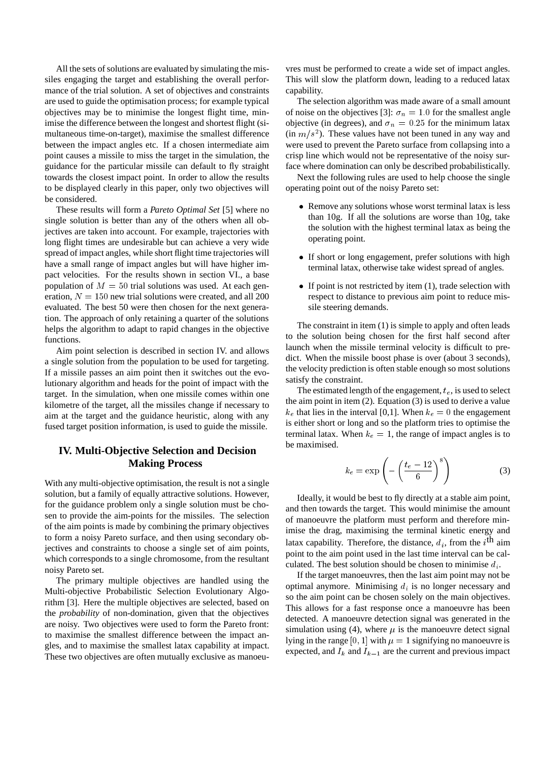All the sets of solutions are evaluated by simulating the missiles engaging the target and establishing the overall performance of the trial solution. A set of objectives and constraints are used to guide the optimisation process; for example typical objectives may be to minimise the longest flight time, minimise the difference between the longest and shortest flight (simultaneous time-on-target), maximise the smallest difference between the impact angles etc. If a chosen intermediate aim point causes a missile to miss the target in the simulation, the guidance for the particular missile can default to fly straight towards the closest impact point. In order to allow the results to be displayed clearly in this paper, only two objectives will be considered.

These results will form a *Pareto Optimal Set* [5] where no single solution is better than any of the others when all objectives are taken into account. For example, trajectories with long flight times are undesirable but can achieve a very wide spread of impact angles, while short flight time trajectories will have a small range of impact angles but will have higher impact velocities. For the results shown in section VI., a base population of  $M = 50$  trial solutions was used. At each generation,  $N = 150$  new trial solutions were created, and all 200 evaluated. The best 50 were then chosen for the next generation. The approach of only retaining a quarter of the solutions helps the algorithm to adapt to rapid changes in the objective functions.

Aim point selection is described in section IV. and allows a single solution from the population to be used for targeting. If a missile passes an aim point then it switches out the evolutionary algorithm and heads for the point of impact with the target. In the simulation, when one missile comes within one kilometre of the target, all the missiles change if necessary to aim at the target and the guidance heuristic, along with any fused target position information, is used to guide the missile.

# **IV. Multi-Objective Selection and Decision Making Process**

With any multi-objective optimisation, the result is not a single solution, but a family of equally attractive solutions. However, for the guidance problem only a single solution must be chosen to provide the aim-points for the missiles. The selection of the aim points is made by combining the primary objectives to form a noisy Pareto surface, and then using secondary objectives and constraints to choose a single set of aim points, which corresponds to a single chromosome, from the resultant noisy Pareto set.

The primary multiple objectives are handled using the Multi-objective Probabilistic Selection Evolutionary Algorithm [3]. Here the multiple objectives are selected, based on the *probability* of non-domination, given that the objectives are noisy. Two objectives were used to form the Pareto front: to maximise the smallest difference between the impact angles, and to maximise the smallest latax capability at impact. These two objectives are often mutually exclusive as manoeuvres must be performed to create a wide set of impact angles. This will slow the platform down, leading to a reduced latax capability.

The selection algorithm was made aware of a small amount of noise on the objectives [3]:  $\sigma_n = 1.0$  for the smallest angle objective (in degrees), and  $\sigma_n = 0.25$  for the minimum latax  $(in m/s<sup>2</sup>)$ . These values have not been tuned in any way and were used to prevent the Pareto surface from collapsing into a crisp line which would not be representative of the noisy surface where domination can only be described probabilistically.

Next the following rules are used to help choose the single operating point out of the noisy Pareto set:

- Remove any solutions whose worst terminal latax is less than 10g. If all the solutions are worse than 10g, take the solution with the highest terminal latax as being the operating point.
- If short or long engagement, prefer solutions with high terminal latax, otherwise take widest spread of angles.
- $\bullet$  If point is not restricted by item (1), trade selection with respect to distance to previous aim point to reduce missile steering demands.

The constraint in item (1) is simple to apply and often leads to the solution being chosen for the first half second after launch when the missile terminal velocity is difficult to predict. When the missile boost phase is over (about 3 seconds), the velocity prediction is often stable enough so most solutions satisfy the constraint.

The estimated length of the engagement,  $t_e$ , is used to select the aim point in item (2). Equation (3) is used to derive a value  $k_e$  that lies in the interval [0,1]. When  $k_e = 0$  the engagement is either short or long and so the platform tries to optimise the terminal latax. When  $k_e = 1$ , the range of impact angles is to be maximised.

$$
k_e = \exp\left(-\left(\frac{t_e - 12}{6}\right)^8\right) \tag{3}
$$

Ideally, it would be best to fly directly at a stable aim point, and then towards the target. This would minimise the amount of manoeuvre the platform must perform and therefore minimise the drag, maximising the terminal kinetic energy and latax capability. Therefore, the distance,  $d_i$ , from the  $i^{\text{th}}$  aim point to the aim point used in the last time interval can be calculated. The best solution should be chosen to minimise  $d_i$ .

If the target manoeuvres, then the last aim point may not be optimal anymore. Minimising  $d_i$  is no longer necessary and so the aim point can be chosen solely on the main objectives. This allows for a fast response once a manoeuvre has been detected. A manoeuvre detection signal was generated in the simulation using (4), where  $\mu$  is the manoeuvre detect signal lying in the range [0, 1] with  $\mu = 1$  signifying no manoeuvre is expected, and  $I_k$  and  $I_{k-1}$  are the current and previous impact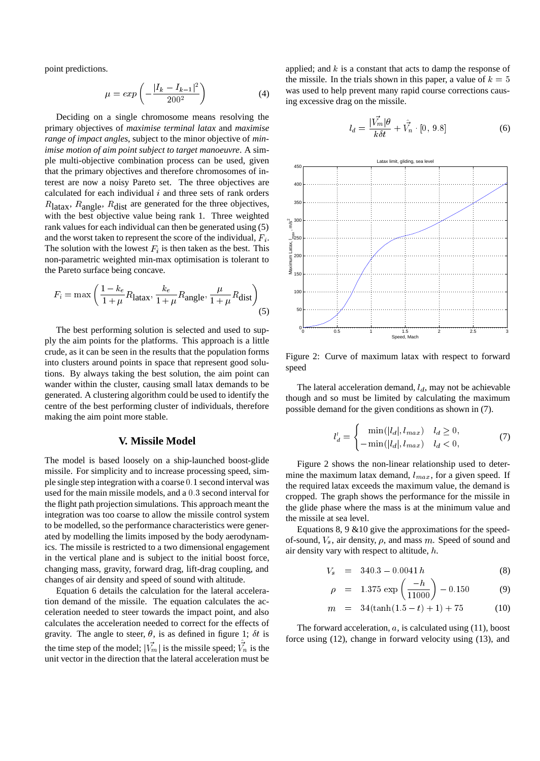point predictions.

$$
\mu = exp\left(-\frac{|I_k - I_{k-1}|^2}{200^2}\right) \tag{4}
$$

Deciding on a single chromosome means resolving the primary objectives of *maximise terminal latax* and *maximise range of impact angles*, subject to the minor objective of *minimise motion of aim point subject to target manoeuvre*. A simple multi-objective combination process can be used, given that the primary objectives and therefore chromosomes of interest are now a noisy Pareto set. The three objectives are calculated for each individual  $i$  and three sets of rank orders  $R_{\text{latax}}$ ,  $R_{\text{angle}}$ ,  $R_{\text{dist}}$  are generated for the three objectives, with the best objective value being rank 1. Three weighted rank values for each individual can then be generated using (5) and the worst taken to represent the score of the individual,  $F_i$ . The solution with the lowest  $F_i$  is then taken as the best. This non-parametric weighted min-max optimisation is tolerant to the Pareto surface being concave.

$$
F_i = \max\left(\frac{1 - k_e}{1 + \mu} R_{\text{latax}}, \frac{k_e}{1 + \mu} R_{\text{angle}}, \frac{\mu}{1 + \mu} R_{\text{dist}}\right) \tag{5}
$$

The best performing solution is selected and used to supply the aim points for the platforms. This approach is a little crude, as it can be seen in the results that the population forms into clusters around points in space that represent good solutions. By always taking the best solution, the aim point can wander within the cluster, causing small latax demands to be generated. A clustering algorithm could be used to identify the centre of the best performing cluster of individuals, therefore making the aim point more stable.

#### **V. Missile Model**

The model is based loosely on a ship-launched boost-glide missile. For simplicity and to increase processing speed, simple single step integration with a coarse 0:1 second interval was used for the main missile models, and a 0:3 second interval for the flight path projection simulations. This approach meant the integration was too coarse to allow the missile control system to be modelled, so the performance characteristics were generated by modelling the limits imposed by the body aerodynamics. The missile is restricted to a two dimensional engagement in the vertical plane and is subject to the initial boost force, changing mass, gravity, forward drag, lift-drag coupling, and changes of air density and speed of sound with altitude.

Equation 6 details the calculation for the lateral acceleration demand of the missile. The equation calculates the acceleration needed to steer towards the impact point, and also calculates the acceleration needed to correct for the effects of gravity. The angle to steer,  $\theta$ , is as defined in figure 1;  $\delta t$  is the time step of the model;  $|V_m|$  is the missile speed;  $V_n$  is the unit vector in the direction that the lateral acceleration must be

applied; and  $k$  is a constant that acts to damp the response of the missile. In the trials shown in this paper, a value of  $k = 5$ was used to help prevent many rapid course corrections causing excessive drag on the missile.

$$
l_d = \frac{|\vec{V_m}|\theta}{k\delta t} + \hat{V_n} \cdot [0, 9.8]
$$
 (6)



Figure 2: Curve of maximum latax with respect to forward speed

The lateral acceleration demand,  $l_d$ , may not be achievable though and so must be limited by calculating the maximum possible demand for the given conditions as shown in (7).

$$
l'_d = \begin{cases} \min(|l_d|, l_{max}) & l_d \ge 0, \\ -\min(|l_d|, l_{max}) & l_d < 0, \end{cases}
$$
 (7)

Figure 2 shows the non-linear relationship used to determine the maximum latax demand,  $l_{max}$ , for a given speed. If the required latax exceeds the maximum value, the demand is cropped. The graph shows the performance for the missile in the glide phase where the mass is at the minimum value and the missile at sea level.

Equations  $8, 9 \& 10$  give the approximations for the speedof-sound,  $V_s$ , air density,  $\rho$ , and mass m. Speed of sound and air density vary with respect to altitude, h.

$$
V_s = 340.3 - 0.0041 h \tag{8}
$$

$$
\rho = 1.375 \exp\left(\frac{-h}{11000}\right) - 0.150 \tag{9}
$$

$$
m = 34(\tanh(1.5 - t) + 1) + 75 \tag{10}
$$

The forward acceleration,  $a$ , is calculated using  $(11)$ , boost force using (12), change in forward velocity using (13), and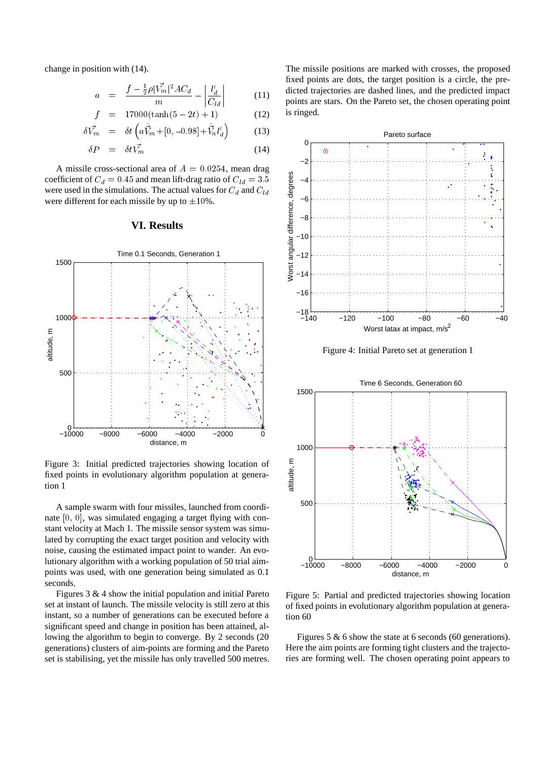change in position with (14).

$$
a = \frac{f - \frac{1}{2}\rho |\vec{V_m}|^2 A C_d}{m} - \left| \frac{l_d'}{C_{ld}} \right| \tag{11}
$$

$$
f = 17000(\tanh(5 - 2t) + 1) \tag{12}
$$

$$
\delta \vec{V_m} = \delta t \left( a \hat{\vec{V}}_m + [0, -0.98] + \hat{\vec{V}}_n l'_d \right) \tag{13}
$$

$$
\delta P = \delta t \vec{V_m} \tag{14}
$$

A missile cross-sectional area of  $A = 0.0254$ , mean drag were used in the simulations. The actual values for  $C_d$  and  $C_{ld}$ were different for each missile by up to  $\pm 10\%$ .

### **VI. Results**



Figure 3: Initial predicted trajectories showing location of fixed points in evolutionary algorithm population at generation 1

A sample swarm with four missiles, launched from coordinate [0; 0], was simulated engaging a target flying with constant velocity at Mach 1. The missile sensor system was simulated by corrupting the exact target position and velocity with noise, causing the estimated impact point to wander. An evolutionary algorithm with a working population of 50 trial aimpoints was used, with one generation being simulated as 0.1 seconds.

Figures 3 & 4 show the initial population and initial Pareto set at instant of launch. The missile velocity is still zero at this instant, so a number of generations can be executed before a significant speed and change in position has been attained, allowing the algorithm to begin to converge. By 2 seconds (20 generations) clusters of aim-points are forming and the Pareto set is stabilising, yet the missile has only travelled 500 metres. The missile positions are marked with crosses, the proposed fixed points are dots, the target position is a circle, the predicted trajectories are dashed lines, and the predicted impact points are stars. On the Pareto set, the chosen operating point is ringed.



Figure 4: Initial Pareto set at generation 1



Figure 5: Partial and predicted trajectories showing location of fixed points in evolutionary algorithm population at generation 60

Figures 5 & 6 show the state at 6 seconds (60 generations). Here the aim points are forming tight clusters and the trajectories are forming well. The chosen operating point appears to